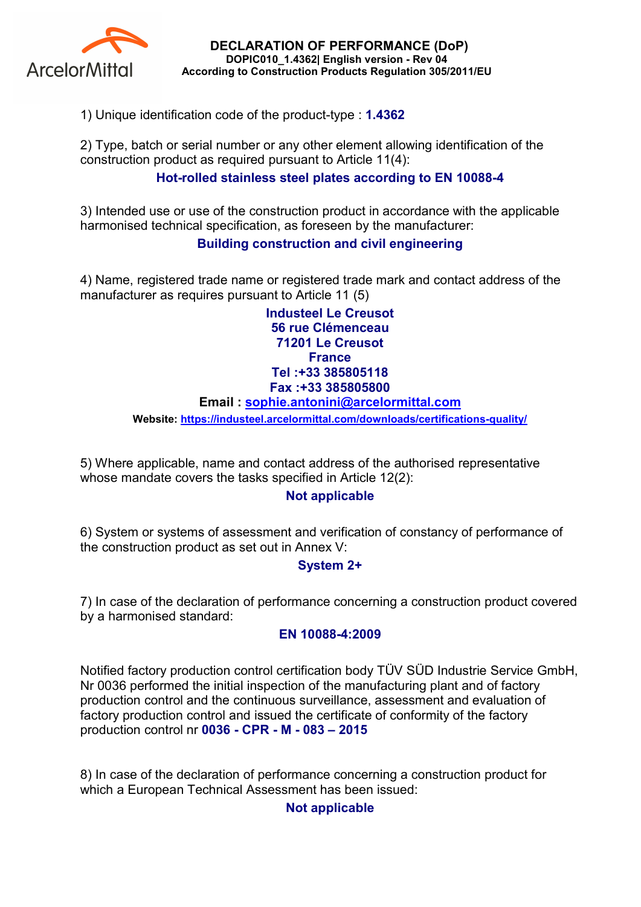

DECLARATION OF PERFORMANCE (DoP) DOPIC010\_1.4362| English version - Rev 04 According to Construction Products Regulation 305/2011/EU

1) Unique identification code of the product-type : 1.4362

2) Type, batch or serial number or any other element allowing identification of the construction product as required pursuant to Article 11(4):

## Hot-rolled stainless steel plates according to EN 10088-4

3) Intended use or use of the construction product in accordance with the applicable harmonised technical specification, as foreseen by the manufacturer:

## Building construction and civil engineering

4) Name, registered trade name or registered trade mark and contact address of the manufacturer as requires pursuant to Article 11 (5)

> Industeel Le Creusot 56 rue Clémenceau 71201 Le Creusot **France** Tel :+33 385805118 Fax :+33 385805800

#### Email : sophie.antonini@arcelormittal.com

Website: https://industeel.arcelormittal.com/downloads/certifications-quality/

5) Where applicable, name and contact address of the authorised representative whose mandate covers the tasks specified in Article 12(2):

### Not applicable

6) System or systems of assessment and verification of constancy of performance of the construction product as set out in Annex V:

### System 2+

7) In case of the declaration of performance concerning a construction product covered by a harmonised standard:

#### EN 10088-4:2009

Notified factory production control certification body TÜV SÜD Industrie Service GmbH, Nr 0036 performed the initial inspection of the manufacturing plant and of factory production control and the continuous surveillance, assessment and evaluation of factory production control and issued the certificate of conformity of the factory production control nr 0036 - CPR - M - 083 – 2015

8) In case of the declaration of performance concerning a construction product for which a European Technical Assessment has been issued:

### Not applicable